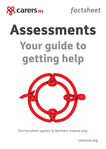

*factsheet*

# Assessments Your guide to getting help



**This factsheet applies to Northern Ireland only.** 

**carersni.org**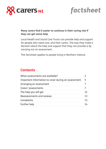



# **Many carers find it easier to continue in their caring role if they can get some help.**

Local Health and Social Care Trusts can provide help and support for people who need care, and their carers. The way they make a decision about the help and support that they can provide is by carrying out an assessment.

This factsheet applies to people living in Northern Ireland.

# **Contents**

| What assessments are available?                     |    |
|-----------------------------------------------------|----|
| Important information to cover during an assessment | 5  |
| Arranging an assessment                             |    |
| Carers' assessments                                 |    |
| The help you will get                               | 12 |
| Reassessments and reviews                           | 13 |
| Complaints                                          | 13 |
| Further help                                        | 14 |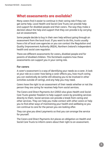# **What assessments are available?**

Many carers find it easier to continue in their caring role if they can get some help. Local Health and Social Care Trusts can provide help and support for disabled people and their carers. The way they make a decision about the help and support that they can provide is by carrying out an assessment.

Some people decide to buy in their own help without going through an assessment from the local trust. If you want to do this, trusts usually have a list of local care agencies or you can contact the Regulation and Quality Improvement Authority (RQIA), Northern Ireland's independent health and social care regulator.

There are different assessments for carers, disabled people and for parents of disabled children. This factsheets explains how these assessments can support you in your caring role.

## **For carers**

A carer's assessment is a way of identifying your needs as a carer. It look at your role as a carer: how being a carer affects you, how much caring you can realistically do (while still allowing you to be involved in other activities outside of caring), and any help you may need.

Carers have the right to an assessment of their needs whether or not the person they are caring for receives help from social services.

The Carers and Direct Payments Act (2002) also gives Health and Social Care Trusts greater freedom to help support carers by providing services directly to them. Social services can provide a break from caring and other services. They can help you make contact with other carers or help you to find other ways of maintaining your health and wellbeing so you can continue to care for the person you are looking after.

They can give you direct payments so that you can arrange the service for yourself.

The Carers and Direct Payments Act places an obligation on Health and Social Care Trusts to inform carers about their right to an assessment.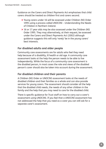Guidance on the Carers and Direct Payments Act emphasises that child carers should be treated as children first and carers second.

- > Young carers under 16 will be assessed under Children (NI) Order 1995 using a process called UNOCINI – Understanding the Needs of Children in Northern Ireland.
- > 16 or 17 year olds may be also assessed under the Children (NI) Order 1995. They may alternatively, at their request, be assessed under the Carers and Direct Payments Act (2002) although guidance suggests this will only 'rarely' be in the young carers' best interests.

# **For disabled adults and older people**

Community care assessments are for adults who feel they need help because of a disability, ill health or old age. A community care assessment looks at the help the person needs to be able to live independently. While the focus of a community care assessment is the disabled person, in most cases the role and views of the disabled person's carer should also be taken into account during the assessment.

## **For disabled children and their parents**

A Children (NI) Order or UNOCINI assessment looks at the needs of disabled children and their families as a whole and can also provide services for young carers. The assessment should consider all the help that the disabled child needs, the needs of any other children in the family and the help that you may need to care for the disabled child.

There is specific guidance for Trust staff on how to carry out a carer's assessment using UNOCINI. If you feel that a UNOCINI assessment has not addressed the help that you need as a carer you can still ask for a separate carer's assessment.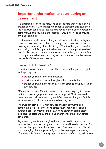# **Important information to cover during an assessment**

If a disabled person needs help, and all of the help they need is being provided by a carer who is happy to continue providing this help, then the local trust can decide that the care needs of the disabled person are being met. In this situation, the local trust would not need to provide any additional help.

It is therefore very important that you tell the local trust, at both your carer's assessment and at the community care assessment of the person you are looking after, about any difficulties that you have with your caring role. It is important to be clear about the support needs of the disabled person that you can meet and those that you cannot. It is also important to be clear about any support you need in order to meet the needs of the disabled person.

## **How will help be provided?**

Following an assessment, if the local trust decides that you are eligible for help, they can:

- > provide you with services themselves
- > provide you with services through another organisation
- > provide you with money so that you can arrange and pay for your own services

Different trusts use different names for the money they pay to you so that you can arrange your own services or support. Most trusts call these payments either 'direct payments' or 'personal budgets'. In this factsheet we will call these payments direct payments.

The trust can provide you with services or direct payments or a combination of both services and direct payments. A carer can be awarded direct payments in their own right, although carers often also help the person they are looking after manage their own direct payments.

Any direct payments you are given have to be used to pay for the services the local trust has agreed to fund. You will need to account for how the direct payments have been spent. Trusts can also provide help with managing direct payments if you or the person you are looking after need this. Some voluntary organisations also offer a payroll service.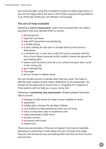You could consider using the complaints system or taking legal advice if you are not happy about the way in which help is going to be provided or if you think the money you are offered is not enough.

## **The sort of help available**

Following a **carer's assessment**, carers have received their own direct payments that have allowed them to access:

- > driving lessons
- > help with taxi fares
- > help with housework and gardening
- > a mobile phone
- > a short holiday for the carer to enable them to have time to themselves
- > a computer for a carer who could not access computer services from a local library because he felt unable to leave the person he was looking after
- > repairs and insurance costs for a car, where transport was crucial to the caring role
- > gym membership
- > massages
- > leisure classes to relieve stress

You are the best person to decide what help you need. You need to identify what support would make a difference to you personally. You should not be expected to choose from a 'shopping list' of options if these options will not help you in your caring role.

Following a **community care assessment**, disabled people have been able to access:

- > changes to their home to make it more suitable for them
- > equipment
- > holiday play schemes for disabled children
- > care workers to help provide personal care at home
- > short or long term stays in residential care
- > meals delivered to their home
- > laundry services
- > assistance with travel
- > respite care

These are just examples of the sort of support that may be available following an assessment. Think about the sort of things that might help you and the person you are looking after and discuss them at your assessments.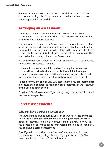Remember that an assessment is not a test – it is an opportunity to discuss your caring role with someone outside the family and to see what support might be available.

# **Arranging an assessment**

Carers' assessments, community care assessments and UNOCINI assessments are all the responsibility of the social services department of the disabled person's local trust.

The best way to request a carer's assessment is to write to or email the social services department responsible for the disabled person (see the example letter below). Even if you do not live in the same local trust area as the disabled person, it is the disabled person's local trust who will be responsible for carrying out your carer's assessment.

You can also request a carer's assessment by phone, but it is a good idea to follow up this request in writing.

If you are looking after an adult, much of the help that you get as a carer will be provided as help for the disabled adult following a community care assessment. It is therefore always a good idea to ask for a community care assessment as well as a carer's assessment.

To get a community care or UNOCINI assessment if you are looking after a disabled child, contact the social services department of the local trust of the disabled adult or child.

To get a UNOCINI assessment if you are a young carer under 16, contact the trust where you live.

# **Carers' assessments**

## **Who can have a carer's assessment?**

The law says that anyone over 16 years of age who provides or intends to provide a substantial amount of care on a regular basis can have a carer's assessment. No definition of 'substantial' is given, so if you feel you devote a lot of time to caring for someone and you do this regularly, you can have a carer's assessment.

Even if you do not provide a lot of hours of care, you can still have an assessment if your caring role has a big impact on your life. The assessment is not linked to Carer's Allowance.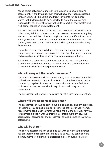Young carers between 16 and 18 years old can also have a carer's assessment. A child younger than this will have their needs assessed through UNOCINI. The Carers and Direct Payments Act guidance states that 'Children should be supported to avoid them assuming responsibility for levels of caring that could impact on their health and well-being, education and development'.

You don't necessarily have to live with the person you are looking after or be caring full time to have a carer's assessment. You may be juggling work and care and this is having a big impact on your life. It is up to you when you ask for a carer's assessment. You can ask for the assessment before you take up caring or at any point when you are already caring for someone.

If you share caring responsibilities with another person, or more than one person, you can each have a carer's assessment so long as you are each providing a substantial amount of care on a regular basis.

You can have a carer's assessment to look at the help that you need even if the disabled person does not want to have a community care assessment to look at the help that they need.

## **Who will carry out the carer's assessment?**

The carer's assessment will be carried out by a social worker or another professional nominated by social services. It could be a district nurse community, psychiatric nurse or someone else who is qualified. Your social services department should explain who will carry out the assessment.

The assessment will normally be carried out at a face to face meeting.

## **Where will the assessment take place?**

The assessment should be carried out in a convenient and private place. For example, this could be at a social services' office or at your home. Assessments can be done over the phone if this is the best way for you, for example if it fits in with your routine or offers more privacy. The social worker carrying out the assessment should discuss this with you beforehand.

# **Who will be there?**

The carer's assessment can be carried out with or without the person you are looking after being present. It is up to you. You can also have a family member, a friend or a professional person such as a Carers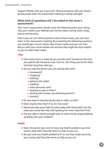Support Worker with you if you wish. Having someone with you should be discussed when the assessment meeting is being arranged.

#### **What kind of questions will I be asked at the carer's assessment?**

Your carer's assessment should cover the following areas: your caring role; your health; your feelings and choices about caring; work, study, leisure and housing.

Even if you are not asked questions about these issues, you can raise them in the assessment meeting. By answering the following questions, you should get a much clearer idea of your needs and you can then discuss with your social worker the services that might be most helpful to you to meet these needs.

#### **Time**

- > How many hours a week do you provide care? Include all the time you spend with the person you care for, the things you do for them and how long they take you.
- > Do you help the person you are looking after with:
	- **•** housework?
	- **•** shopping?
	- **•** bathing?
	- **•** going to the toilet?
	- **•** cooking?
	- **•** other personal care?
	- **•** keeping an eye on them?
	- **•** dealing with money, eg collecting pension?
	- **•** laundry?
- > Do you have to help during the day or night, or both?
- > Does anyone else help? If so, for how long?
- > Would you like some help (or extra help) with these jobs? List the tasks you would like help with (putting the most important first).
- > Are you able to spend enough time on other family responsibilities, eg being with your children?

#### **Health**

- > Does the person you care for have any health problems you find hard to deal with? Describe them as fully as you can.
- > Do you have any health problems? If so, are they made worse by your caring role? Describe them as fully as you can.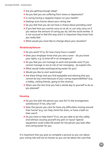- > Are you getting enough sleep?
- > Do you feel you are suffering from stress or depression?
- > Is caring having a negative impact on your health?
- > Feelings and choices about your caring role
- > Do you feel that you do not have a choice about providing care?
- > If you feel that you cannot carry on at all, or can only carry on if you reduce the amount of caring you do, tell the social worker. It is not unusual to feel this way and it is important they know how you really feel.
- > What would you most like to change about your situation?

#### **Work/study/leisure**

- > Do you work? If so, for how many hours a week?
- > Does your employer know that you are a carer do you know your rights, e.g. to time off in an emergency?
- > Do you feel you can manage to work and provide care? If you cannot manage or are at risk of not managing - do explain this.
- > What would make working/caring easier for you?
- > Would you like to start work/study?
- > Are there things that you find enjoyable and relaxing that you cannot do any more because of your caring responsibilities? (e.g. a hobby, visiting friends, going to the cinema).
- > When was the last time you had a whole day to yourself to do as you pleased?

#### **Housing**

- > Do you live with the person you care for? Is the arrangement satisfactory? If not, why not?
- > Does the person you care for have any difficulties moving around their home? (e.g. can they climb the stairs, or have a bath on their own?)
- > Do you have to help them? If so, are you able to do this safely and without causing yourself any pain or injury? Special equipment could make life easier for the person you look after and caring easier for you.

It's important that you give as complete a picture as you can about your caring role and are as honest as you can be about the care that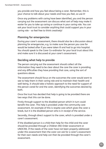you provide and how you feel about being a carer. Remember, this is your chance to talk about your needs and how you feel, so use it!

Once any problems with caring have been identified, you and the person carrying out the assessment can discuss what sort of help may make it easier for you to take up caring or continue in your caring role. You can ask your local trust to consider anything that could support you in your caring role – so feel free to think creatively!

# **Planning for emergencies**

During your carer's assessment, there should also be a discussion about planning for emergencies, e.g. to make sure the person you care for would be looked after if you were taken ill and had to go into hospital. You should speak to the Carer Co-ordinator for your local trust about this and make sure it is discussed at your carer's assessment.

# **Deciding what help to provide**

The person carrying out the assessment should collect all the information they need to be clear about the care the carer is providing and any difficulties they have providing that care, using the sort of questions above.

The assessment should focus on the outcomes the carer would want to see to help them in their caring role and to maintain their health and well-being. It should take a holistic approach to the need for support of the person cared for and the carer, identifying the outcomes desired by both.

Once the trust has decided that help is going to be provided there are two ways that this can be done.

Firstly through support to the disabled person which in turn could benefit the carer. This help is provided under the community care assessment. An example of this is respite care which gives the carer a break, but it is the disabled person who is in receipt of the service.

Secondly, through direct support to the carer, which is provided under a carer's assessment.

If the disabled person is a child then help for the child and the carer should be provided through a Children (NI) Order assessment or UNOCINI. If the needs of the carer have not been properly addressed under this assessment then the carer can ask for a carer's assessment for their own needs and help can then be provided through the carer's assessment.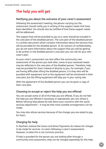# **The help you will get**

## **Notifying you about the outcome of your carer's assessment**

Following the assessment meeting, the person carrying out the assessment should notify you in writing of the support needs that have been identified. You should also be notified of how these support needs will be addressed.

The support that will be provided to you as a carer should be included in the care plan of the disabled person. The care plan of the disabled person is a written document which contains information about the services that will be provided for the disabled person. If, for reasons of confidentiality, you do not want information about the support that you will be getting to be written in the disabled person's care plan you can ask for your own carer's plan.

As your carer's assessment can also affect the community care assessment of the person you look after, some of your assessed needs may be reflected in the care plan of the disabled person. Therefore, help may be provided for them instead of directly to you. For example, if you are having difficulties lifting the disabled person, it is they who will be provided with equipment and so the equipment will be mentioned in their care plan; but the lifting equipment will help you in your caring role.

With the agreement of the disabled person you can be given a copy of their care plan.

# **Choosing to accept or reject the help you are offered**

You can accept some or all of the help you are offered. If you do not feel the help you are offered is necessary or appropriate, you can refuse it. Before refusing help please do talk about your concerns with the social services department – it may be that more suitable arrangements can be made.

You may also refuse services because of the charges you are asked to pay for them.

# **Charging for help**

In Northern Ireland the Carers and Direct Payments Act allows for charges to be made for services to carers following a carer's assessments. However, to date this is not common practice.

If help is provided for the person you are looking after through a community care assessment, they can be charged separately for this help.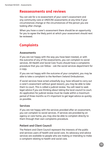# **Reassessments and reviews**

You can ask for a re-assessment of your carer's assessment and any community care or UNOCINI assessments at any time if your circumstances change or the circumstances of the person you are looking after change.

When you have a carer's assessment there should be an opportunity for you to agree the likely point at which your assessment should next be reviewed.

# **Complaints**

# **Assessments**

If you are not happy with the way you have been treated, or with the outcome of any of the assessments, you can complain to social services. All Health and Social Care Trusts should have a complaints procedure that you can follow – ask the social services department for a copy.

If you are not happy with the outcome of your complaint, you may be able to take a complaint to the Northern Ireland Ombudsman.

If social services have acted unlawfully (e.g. have refused to carry out a carer's assessment without good reason), you may be able to take them to court. This is called a judicial review. You will need to seek legal advice if you are thinking about taking the local council to court. An application for judicial review must be made within a maximum period of three months so it's important to get legal advice as quickly as possible.

## **Services**

If you are not happy with the services provided after an assessment, you can complain to social services. If services are provided by an agency or care home, you may also be able to complain directly to them through their own complaints procedure.

# **Patient and Client Council**

The Patient and Client Council represent the interests of the public and services users of health and social care. Its advocacy and advice services are available to people who are making or intending to make a complaint relating to health and social care.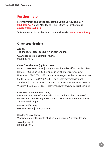# **Further help**

For information and advice contact the Carers UK Adviceline on **0808 808 7777** (open Monday to Friday, 10am to 4pm) or email **advice@carersuk.org**

Information is also available on our website – visit **www.carersuk.org**

# **Other organisations**

**Age NI**

The charity for older people in Northern Ireland.

www.ageuk.org.uk/northern-ireland 0808 808 7575

#### **Carer Co-ordinators (by Trust area)**

Belfast | 028 9056 4937 | margaret.mcdonald@belfasttrust.hscni.net Belfast | 028 9504 6108 | lynne.calvert@belfasttrust.hscni.net Northern | 028 2766 1392 | anne.cummings@northerntrust.hscni.net South Eastern | 028 9756 5456 | joan.scott@setrust.hscni.net Southern | 028 3083 4325 | patricia.mccrink@southerntrust.hscni.net Western | 028 6634 4163 | cathy.magowan@westerntrust.hscni.net

#### **Centre for Independent Living**

Promotes principles of independent living and provides a range of services for people using or considering using Direct Payments and/or Self-Directed Support.

www.cilbelfast.org 028 9064 8546 | info@cilni.org

## **Children's Law Centre**

Works to protect the rights of all children living in Northern Ireland.

www.lgo.org.uk 0300 061 0614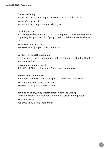#### **Contact a Family**

A national charity that supports the families of disabled children.

www.cafamily.org.uk 0808 808 3555 | helpline@cafamily.org.uk

#### **Disability Action**

A charity providing a range of services and projects, which are aimed at improving the quality of life of people with disabilities, their families and carers.

www.disabilityaction.org 028 9029 7880 | hq@disabilityaction.org

#### **Northern Ireland Ombudsman**

The Northern Ireland Ombudsman looks at complaints about authorities and organisations.

www.ni-ombudsman.org.uk 028 9023 3821 | ombudsman@ni-ombudsman.org.uk

#### **Patient and Client Council**

Helps with complaints about any part of health and social care.

www.patientclientcouncil.hscni.net 0800 917 0222 | info.pcc@hscni.net

#### **Regulation and Quality Improvement Authority (RQIA)**

Northern Ireland's independent health and social care regulator.

www.rqia.org.uk 028 9051 7500 | info@rqia.org.uk